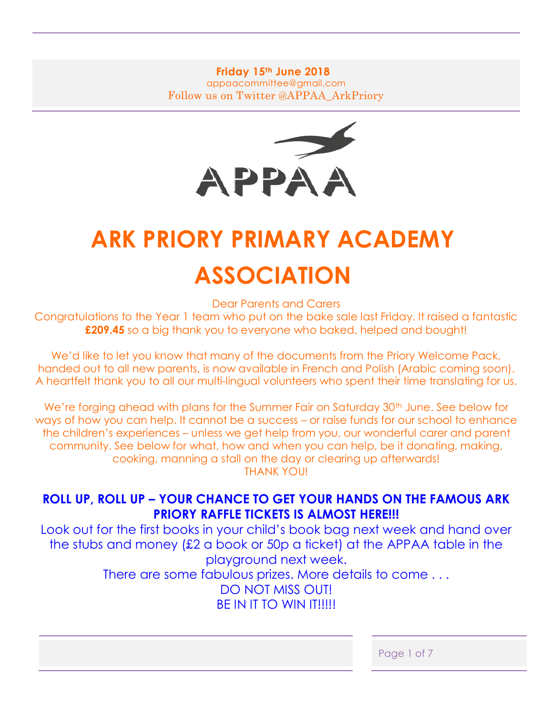# **Friday 15th June 2018** appaacommittee@gmail.com Follow us on Twitter @APPAA\_ArkPriory



# **ARK PRIORY PRIMARY ACADEMY ASSOCIATION**

Dear Parents and Carers

Congratulations to the Year 1 team who put on the bake sale last Friday. It raised a fantastic **£209.45** so a big thank you to everyone who baked, helped and bought!

We'd like to let you know that many of the documents from the Priory Welcome Pack, handed out to all new parents, is now available in French and Polish (Arabic coming soon). A heartfelt thank you to all our multi-lingual volunteers who spent their time translating for us.

We're forging ahead with plans for the Summer Fair on Saturday 30<sup>th</sup> June. See below for ways of how you can help. It cannot be a success – or raise funds for our school to enhance the children's experiences – unless we get help from you, our wonderful carer and parent community. See below for what, how and when you can help, be it donating, making, cooking, manning a stall on the day or clearing up afterwards! THANK YOU!

# **ROLL UP, ROLL UP – YOUR CHANCE TO GET YOUR HANDS ON THE FAMOUS ARK PRIORY RAFFLE TICKETS IS ALMOST HERE!!!**

Look out for the first books in your child's book bag next week and hand over the stubs and money (£2 a book or 50p a ticket) at the APPAA table in the playground next week. There are some fabulous prizes. More details to come . . . DO NOT MISS OUT! BE IN IT TO WIN IT!!!!!

| Page 1 of 7 |
|-------------|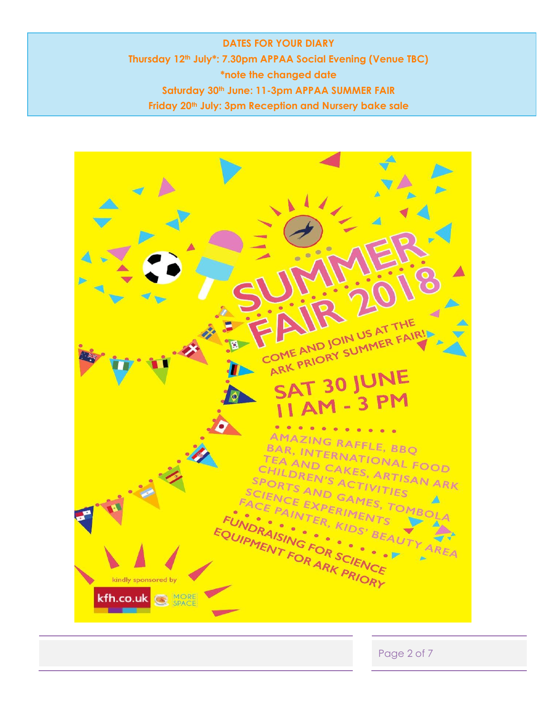**DATES FOR YOUR DIARY Thursday 12th July\*: 7.30pm APPAA Social Evening (Venue TBC) \*note the changed date Saturday 30th June: 11-3pm APPAA SUMMER FAIR Friday 20th July: 3pm Reception and Nursery bake sale**



Page 2 of 7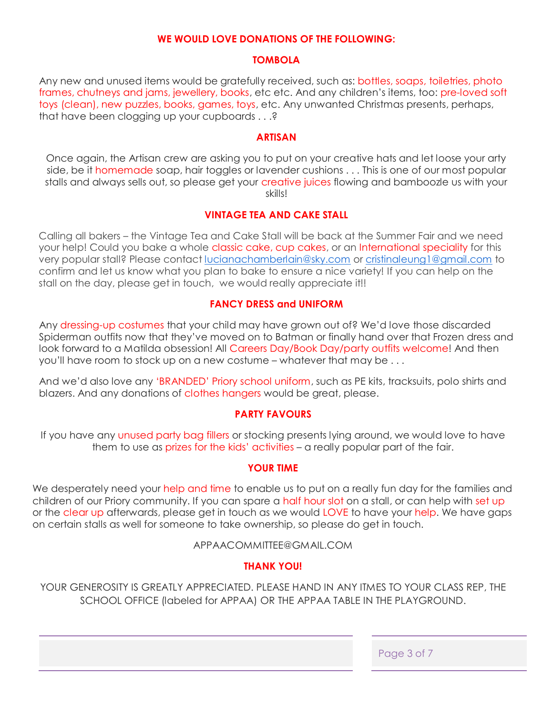#### **WE WOULD LOVE DONATIONS OF THE FOLLOWING:**

#### **TOMBOLA**

Any new and unused items would be gratefully received, such as: bottles, soaps, toiletries, photo frames, chutneys and jams, jewellery, books, etc etc. And any children's items, too: pre-loved soft toys (clean), new puzzles, books, games, toys, etc. Any unwanted Christmas presents, perhaps, that have been clogging up your cupboards . . .?

#### **ARTISAN**

Once again, the Artisan crew are asking you to put on your creative hats and let loose your arty side, be it homemade soap, hair toggles or lavender cushions . . . This is one of our most popular stalls and always sells out, so please get your creative juices flowing and bamboozle us with your skills!

# **VINTAGE TEA AND CAKE STALL**

Calling all bakers – the Vintage Tea and Cake Stall will be back at the Summer Fair and we need your help! Could you bake a whole classic cake, cup cakes, or an International speciality for this very popular stall? Please contact [lucianachamberlain@sky.com](mailto:lucianachamberlain@sky.com) or [cristinaleung1@gmail.com](mailto:cristinaleung1@gmail.com) to confirm and let us know what you plan to bake to ensure a nice variety! If you can help on the stall on the day, please get in touch, we would really appreciate it!!

#### **FANCY DRESS and UNIFORM**

Any dressing-up costumes that your child may have grown out of? We'd love those discarded Spiderman outfits now that they've moved on to Batman or finally hand over that Frozen dress and look forward to a Matilda obsession! All Careers Day/Book Day/party outfits welcome! And then you'll have room to stock up on a new costume – whatever that may be . . .

And we'd also love any 'BRANDED' Priory school uniform, such as PE kits, tracksuits, polo shirts and blazers. And any donations of clothes hangers would be great, please.

# **PARTY FAVOURS**

If you have any unused party bag fillers or stocking presents lying around, we would love to have them to use as prizes for the kids' activities – a really popular part of the fair.

#### **YOUR TIME**

We desperately need your help and time to enable us to put on a really fun day for the families and children of our Priory community. If you can spare a half hour slot on a stall, or can help with set up or the clear up afterwards, please get in touch as we would LOVE to have your help. We have gaps on certain stalls as well for someone to take ownership, so please do get in touch.

APPAACOMMITTEE@GMAIL.COM

# **THANK YOU!**

YOUR GENEROSITY IS GREATLY APPRECIATED. PLEASE HAND IN ANY ITMES TO YOUR CLASS REP, THE SCHOOL OFFICE (labeled for APPAA) OR THE APPAA TABLE IN THE PLAYGROUND.

Page 3 of 7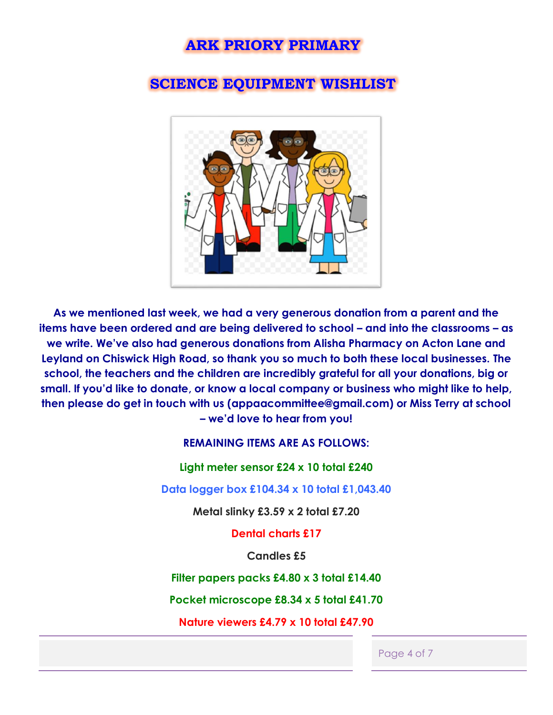# **ARK PRIORY PRIMARY**

# **SCIENCE EQUIPMENT WISHLIST**



**As we mentioned last week, we had a very generous donation from a parent and the items have been ordered and are being delivered to school – and into the classrooms – as we write. We've also had generous donations from Alisha Pharmacy on Acton Lane and Leyland on Chiswick High Road, so thank you so much to both these local businesses. The school, the teachers and the children are incredibly grateful for all your donations, big or small. If you'd like to donate, or know a local company or business who might like to help, then please do get in touch with us (appaacommittee@gmail.com) or Miss Terry at school – we'd love to hear from you!**

# **REMAINING ITEMS ARE AS FOLLOWS:**

#### **Light meter sensor £24 x 10 total £240**

**Data logger box £104.34 x 10 total £1,043.40**

**Metal slinky £3.59 x 2 total £7.20**

**Dental charts £17**

**Candles £5**

**Filter papers packs £4.80 x 3 total £14.40**

**Pocket microscope £8.34 x 5 total £41.70**

**Nature viewers £4.79 x 10 total £47.90**

Page 4 of 7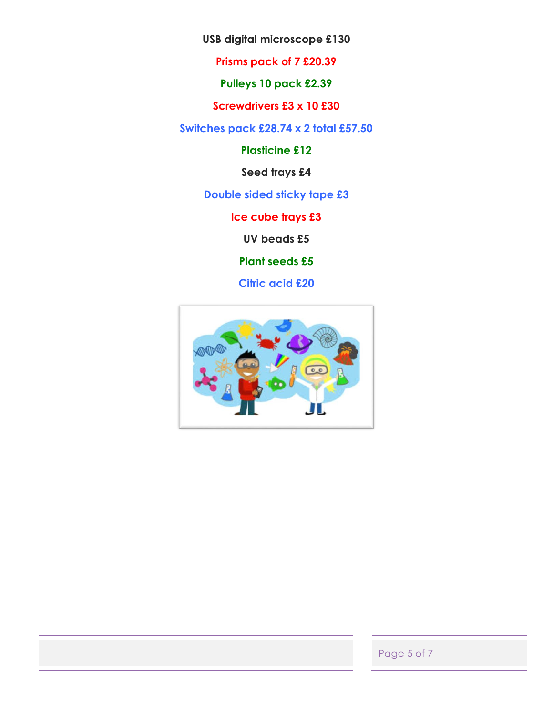**USB digital microscope £130**

**Prisms pack of 7 £20.39**

**Pulleys 10 pack £2.39**

**Screwdrivers £3 x 10 £30**

**Switches pack £28.74 x 2 total £57.50**

**Plasticine £12**

**Seed trays £4**

**Double sided sticky tape £3**

**Ice cube trays £3**

**UV beads £5**

**Plant seeds £5**

**Citric acid £20**



Page 5 of 7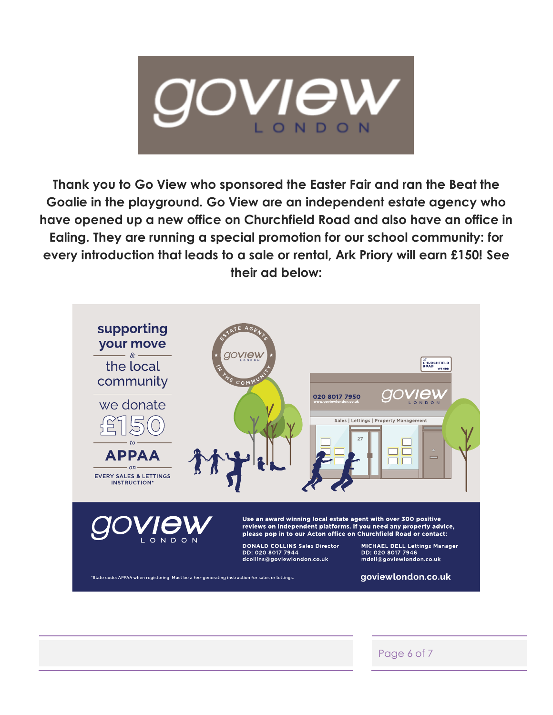

**Thank you to Go View who sponsored the Easter Fair and ran the Beat the Goalie in the playground. Go View are an independent estate agency who have opened up a new office on Churchfield Road and also have an office in Ealing. They are running a special promotion for our school community: for every introduction that leads to a sale or rental, Ark Priory will earn £150! See their ad below:**



Page 6 of 7